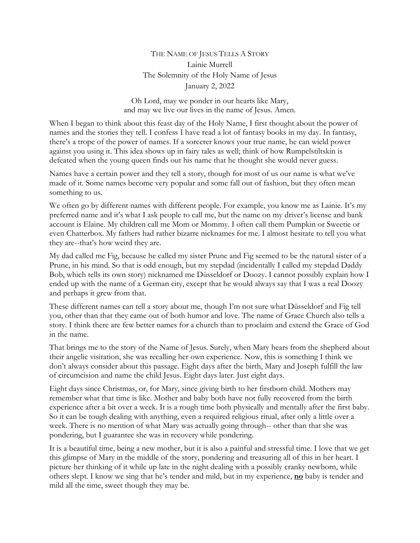## THE NAME OF JESUS TELLS A STORY Lainie Murrell The Solemnity of the Holy Name of Jesus January 2, 2022

Oh Lord, may we ponder in our hearts like Mary, and may we live our lives in the name of Jesus. Amen.

When I began to think about this feast day of the Holy Name, I first thought about the power of names and the stories they tell. I confess I have read a lot of fantasy books in my day. In fantasy, there's a trope of the power of names. If a sorcerer knows your true name, he can wield power against you using it. This idea shows up in fairy tales as well; think of how Rumpelstiltskin is defeated when the young queen finds out his name that he thought she would never guess.

Names have a certain power and they tell a story, though for most of us our name is what we've made of it. Some names become very popular and some fall out of fashion, but they often mean something to us.

We often go by different names with different people. For example, you know me as Lainie. It's my preferred name and it's what I ask people to call me, but the name on my driver's license and bank account is Elaine. My children call me Mom or Mommy. I often call them Pumpkin or Sweetie or even Chatterbox. My fathers had rather bizarre nicknames for me. I almost hesitate to tell you what they are--that's how weird they are.

My dad called me Fig, because he called my sister Prune and Fig seemed to be the natural sister of a Prune, in his mind. So that is odd enough, but my stepdad (incidentally I called my stepdad Daddy Bob, which tells its own story) nicknamed me Düsseldorf or Doozy. I cannot possibly explain how I ended up with the name of a German city, except that he would always say that I was a real Doozy and perhaps it grew from that.

These different names can tell a story about me, though I'm not sure what Düsseldorf and Fig tell you, other than that they came out of both humor and love. The name of Grace Church also tells a story. I think there are few better names for a church than to proclaim and extend the Grace of God in the name.

That brings me to the story of the Name of Jesus. Surely, when Mary hears from the shepherd about their angelic visitation, she was recalling her own experience. Now, this is something I think we don't always consider about this passage. Eight days after the birth, Mary and Joseph fulfill the law of circumcision and name the child Jesus. Eight days later. Just eight days.

Eight days since Christmas, or, for Mary, since giving birth to her firstborn child. Mothers may remember what that time is like. Mother and baby both have not fully recovered from the birth experience after a bit over a week. It is a rough time both physically and mentally after the first baby. So it can be tough dealing with anything, even a required religious ritual, after only a little over a week. There is no mention of what Mary was actually going through-- other than that she was pondering, but I guarantee she was in recovery while pondering.

It is a beautiful time, being a new mother, but it is also a painful and stressful time. I love that we get this glimpse of Mary in the middle of the story, pondering and treasuring all of this in her heart. I picture her thinking of it while up late in the night dealing with a possibly cranky newborn, while others slept. I know we sing that he's tender and mild, but in my experience, **no** baby is tender and mild all the time, sweet though they may be.